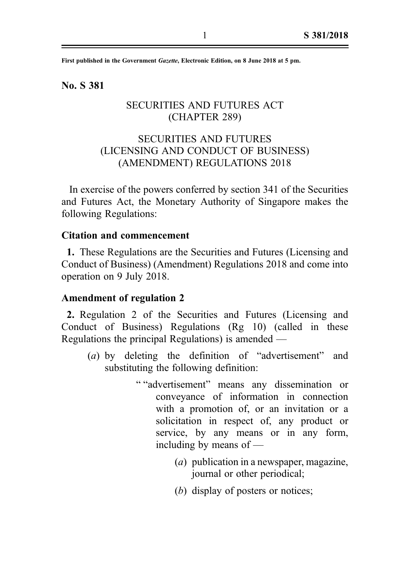First published in the Government Gazette, Electronic Edition, on 8 June 2018 at 5 pm.

No. S 381

## SECURITIES AND FUTURES ACT (CHAPTER 289)

# SECURITIES AND FUTURES (LICENSING AND CONDUCT OF BUSINESS) (AMENDMENT) REGULATIONS 2018

In exercise of the powers conferred by section 341 of the Securities and Futures Act, the Monetary Authority of Singapore makes the following Regulations:

## Citation and commencement

1. These Regulations are the Securities and Futures (Licensing and Conduct of Business) (Amendment) Regulations 2018 and come into operation on 9 July 2018.

#### Amendment of regulation 2

2. Regulation 2 of the Securities and Futures (Licensing and Conduct of Business) Regulations (Rg 10) (called in these Regulations the principal Regulations) is amended —

- (a) by deleting the definition of "advertisement" and substituting the following definition:
	- " "advertisement" means any dissemination or conveyance of information in connection with a promotion of, or an invitation or a solicitation in respect of, any product or service, by any means or in any form, including by means of —
		- (a) publication in a newspaper, magazine, journal or other periodical;
		- (b) display of posters or notices;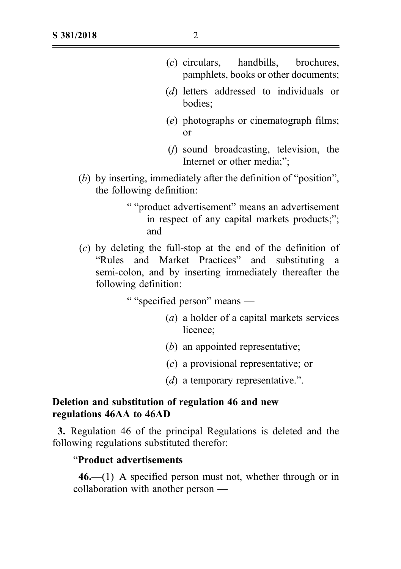- (c) circulars, handbills, brochures, pamphlets, books or other documents;
- (d) letters addressed to individuals or bodies;
- (e) photographs or cinematograph films; or
- (f) sound broadcasting, television, the Internet or other media;";
- (b) by inserting, immediately after the definition of "position", the following definition:
	- " "product advertisement" means an advertisement in respect of any capital markets products;"; and
- $(c)$  by deleting the full-stop at the end of the definition of "Rules and Market Practices" and substituting a semi‑colon, and by inserting immediately thereafter the following definition:

" "specified person" means —

- (a) a holder of a capital markets services licence;
- (b) an appointed representative;
- (c) a provisional representative; or
- (d) a temporary representative.".

# Deletion and substitution of regulation 46 and new regulations 46AA to 46AD

3. Regulation 46 of the principal Regulations is deleted and the following regulations substituted therefor:

## "Product advertisements

 $46$ —(1) A specified person must not, whether through or in collaboration with another person —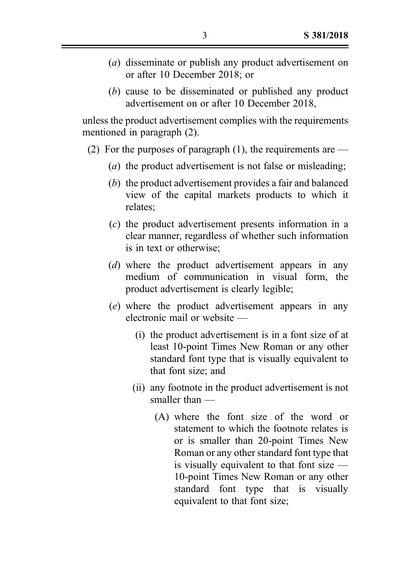- (a) disseminate or publish any product advertisement on or after 10 December 2018; or
- (b) cause to be disseminated or published any product advertisement on or after 10 December 2018,

unless the product advertisement complies with the requirements mentioned in paragraph (2).

- (2) For the purposes of paragraph (1), the requirements are  $-$ 
	- (a) the product advertisement is not false or misleading;
	- (b) the product advertisement provides a fair and balanced view of the capital markets products to which it relates;
	- (c) the product advertisement presents information in a clear manner, regardless of whether such information is in text or otherwise;
	- (d) where the product advertisement appears in any medium of communication in visual form, the product advertisement is clearly legible;
	- (e) where the product advertisement appears in any electronic mail or website —
		- (i) the product advertisement is in a font size of at least 10‑point Times New Roman or any other standard font type that is visually equivalent to that font size; and
		- (ii) any footnote in the product advertisement is not smaller than —
			- (A) where the font size of the word or statement to which the footnote relates is or is smaller than 20‑point Times New Roman or any other standard font type that is visually equivalent to that font size — 10‑point Times New Roman or any other standard font type that is visually equivalent to that font size;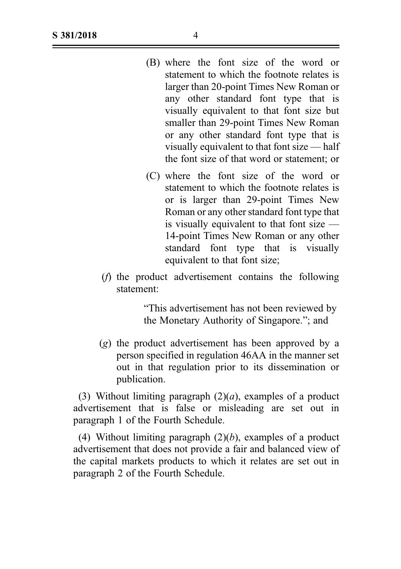| (B) where the font size of the word or       |
|----------------------------------------------|
| statement to which the footnote relates is   |
| larger than 20-point Times New Roman or      |
| any other standard font type that is         |
| visually equivalent to that font size but    |
| smaller than 29-point Times New Roman        |
| or any other standard font type that is      |
| visually equivalent to that font size — half |
| the font size of that word or statement; or  |

- (C) where the font size of the word or statement to which the footnote relates is or is larger than 29‑point Times New Roman or any other standard font type that is visually equivalent to that font size — 14‑point Times New Roman or any other standard font type that is visually equivalent to that font size;
- (f) the product advertisement contains the following statement:

. "This advertisement has not been reviewed by the Monetary Authority of Singapore."; and

(g) the product advertisement has been approved by a person specified in regulation 46AA in the manner set out in that regulation prior to its dissemination or publication.

(3) Without limiting paragraph  $(2)(a)$ , examples of a product advertisement that is false or misleading are set out in paragraph 1 of the Fourth Schedule.

(4) Without limiting paragraph  $(2)(b)$ , examples of a product advertisement that does not provide a fair and balanced view of the capital markets products to which it relates are set out in paragraph 2 of the Fourth Schedule.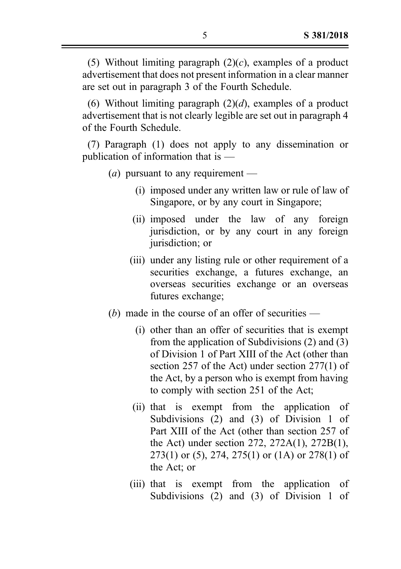(5) Without limiting paragraph  $(2)(c)$ , examples of a product advertisement that does not present information in a clear manner are set out in paragraph 3 of the Fourth Schedule.

(6) Without limiting paragraph  $(2)(d)$ , examples of a product advertisement that is not clearly legible are set out in paragraph 4 of the Fourth Schedule.

(7) Paragraph (1) does not apply to any dissemination or publication of information that is —

- (*a*) pursuant to any requirement
	- (i) imposed under any written law or rule of law of Singapore, or by any court in Singapore;
	- (ii) imposed under the law of any foreign jurisdiction, or by any court in any foreign jurisdiction; or
	- (iii) under any listing rule or other requirement of a securities exchange, a futures exchange, an overseas securities exchange or an overseas futures exchange;
- (b) made in the course of an offer of securities  $-$ 
	- (i) other than an offer of securities that is exempt from the application of Subdivisions (2) and (3) of Division 1 of Part XIII of the Act (other than section 257 of the Act) under section 277(1) of the Act, by a person who is exempt from having to comply with section 251 of the Act;
	- (ii) that is exempt from the application of Subdivisions (2) and (3) of Division 1 of Part XIII of the Act (other than section 257 of the Act) under section 272, 272A(1), 272B(1), 273(1) or (5), 274, 275(1) or (1A) or 278(1) of the Act; or
	- (iii) that is exempt from the application of Subdivisions (2) and (3) of Division 1 of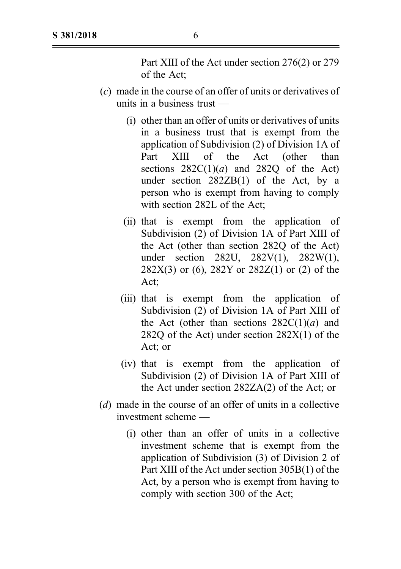Part XIII of the Act under section 276(2) or 279 of the Act;

- (c) made in the course of an offer of units or derivatives of units in a business trust —
	- (i) other than an offer of units or derivatives of units in a business trust that is exempt from the application of Subdivision (2) of Division 1A of Part XIII of the Act (other than sections  $282C(1)(a)$  and  $282O$  of the Act) under section 282ZB(1) of the Act, by a person who is exempt from having to comply with section 282L of the Act;
	- (ii) that is exempt from the application of Subdivision (2) of Division 1A of Part XIII of the Act (other than section 282Q of the Act) under section 282U, 282V(1), 282W(1), 282X(3) or (6), 282Y or 282Z(1) or (2) of the Act;
	- (iii) that is exempt from the application of Subdivision (2) of Division 1A of Part XIII of the Act (other than sections  $282C(1)(a)$  and 282Q of the Act) under section 282X(1) of the Act; or
	- (iv) that is exempt from the application of Subdivision (2) of Division 1A of Part XIII of the Act under section 282ZA(2) of the Act; or
- (d) made in the course of an offer of units in a collective investment scheme —
	- (i) other than an offer of units in a collective investment scheme that is exempt from the application of Subdivision (3) of Division 2 of Part XIII of the Act under section 305B(1) of the Act, by a person who is exempt from having to comply with section 300 of the Act;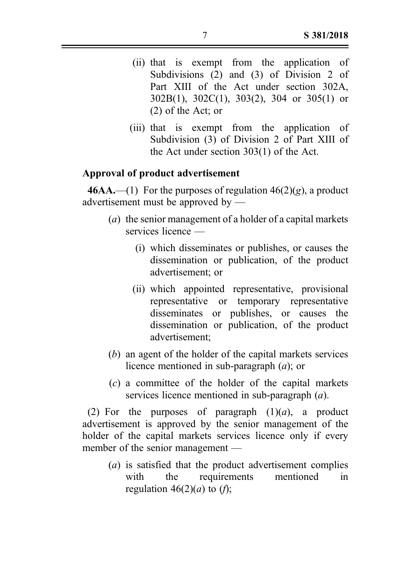- (ii) that is exempt from the application of Subdivisions (2) and (3) of Division 2 of Part XIII of the Act under section 302A, 302B(1), 302C(1), 303(2), 304 or 305(1) or (2) of the Act; or
- (iii) that is exempt from the application of Subdivision (3) of Division 2 of Part XIII of the Act under section 303(1) of the Act.

## Approval of product advertisement

**46AA.**—(1) For the purposes of regulation  $46(2)(g)$ , a product advertisement must be approved by —

- (a) the senior management of a holder of a capital markets services licence —
	- (i) which disseminates or publishes, or causes the dissemination or publication, of the product advertisement; or
	- (ii) which appointed representative, provisional representative or temporary representative disseminates or publishes, or causes the dissemination or publication, of the product advertisement;
- (b) an agent of the holder of the capital markets services licence mentioned in sub-paragraph  $(a)$ ; or
- (c) a committee of the holder of the capital markets services licence mentioned in sub-paragraph  $(a)$ .

(2) For the purposes of paragraph  $(1)(a)$ , a product advertisement is approved by the senior management of the holder of the capital markets services licence only if every member of the senior management —

(a) is satisfied that the product advertisement complies with the requirements mentioned in regulation  $46(2)(a)$  to  $(f)$ ;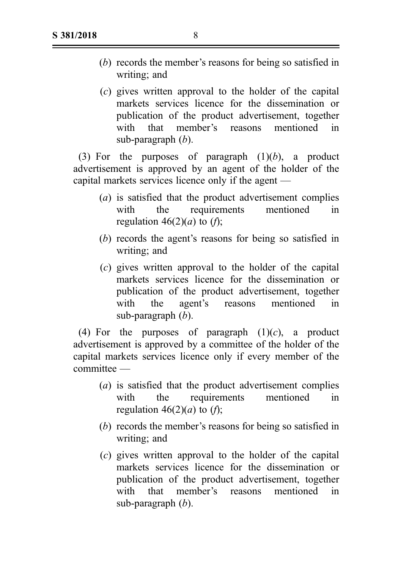- (b) records the member's reasons for being so satisfied in writing; and
- (c) gives written approval to the holder of the capital markets services licence for the dissemination or publication of the product advertisement, together with that member's reasons mentioned in sub-paragraph  $(b)$ .

(3) For the purposes of paragraph  $(1)(b)$ , a product advertisement is approved by an agent of the holder of the capital markets services licence only if the agent —

- (a) is satisfied that the product advertisement complies with the requirements mentioned in regulation  $46(2)(a)$  to  $(f)$ ;
- (b) records the agent's reasons for being so satisfied in writing; and
- (c) gives written approval to the holder of the capital markets services licence for the dissemination or publication of the product advertisement, together with the agent's reasons mentioned in sub-paragraph  $(b)$ .

(4) For the purposes of paragraph  $(1)(c)$ , a product advertisement is approved by a committee of the holder of the capital markets services licence only if every member of the committee —

- (a) is satisfied that the product advertisement complies with the requirements mentioned in regulation  $46(2)(a)$  to  $(f)$ :
- (b) records the member's reasons for being so satisfied in writing; and
- (c) gives written approval to the holder of the capital markets services licence for the dissemination or publication of the product advertisement, together with that member's reasons mentioned in sub-paragraph  $(b)$ .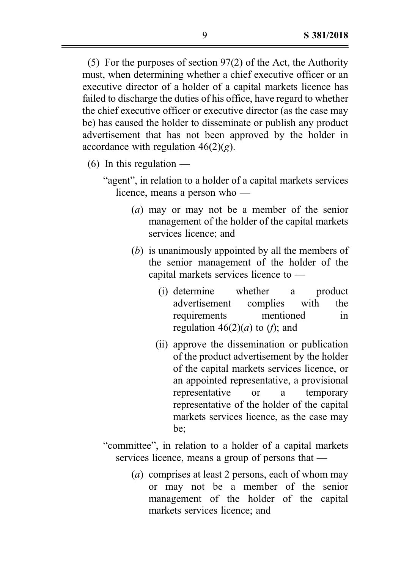(5) For the purposes of section 97(2) of the Act, the Authority must, when determining whether a chief executive officer or an executive director of a holder of a capital markets licence has failed to discharge the duties of his office, have regard to whether the chief executive officer or executive director (as the case may be) has caused the holder to disseminate or publish any product advertisement that has not been approved by the holder in accordance with regulation  $46(2)(g)$ .

- (6) In this regulation  $-$ 
	- "agent", in relation to a holder of a capital markets services licence, means a person who —
		- (a) may or may not be a member of the senior management of the holder of the capital markets services licence; and
		- (b) is unanimously appointed by all the members of the senior management of the holder of the capital markets services licence to —
			- (i) determine whether a product advertisement complies with the requirements mentioned in regulation  $46(2)(a)$  to (*f*); and
			- (ii) approve the dissemination or publication of the product advertisement by the holder of the capital markets services licence, or an appointed representative, a provisional representative or a temporary representative of the holder of the capital markets services licence, as the case may be;
	- "committee", in relation to a holder of a capital markets services licence, means a group of persons that —
		- (a) comprises at least 2 persons, each of whom may or may not be a member of the senior management of the holder of the capital markets services licence; and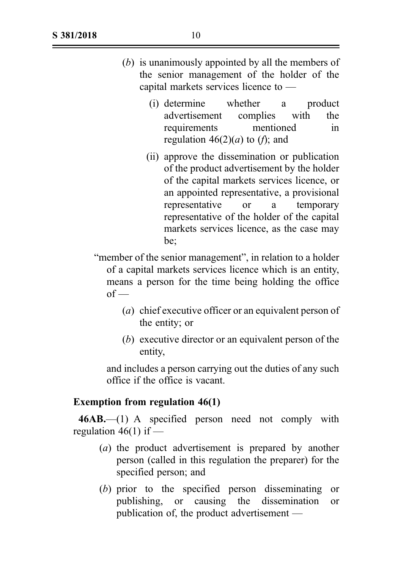- (b) is unanimously appointed by all the members of the senior management of the holder of the capital markets services licence to —
	- (i) determine whether a product advertisement complies with the requirements mentioned in regulation  $46(2)(a)$  to (f); and
	- (ii) approve the dissemination or publication of the product advertisement by the holder of the capital markets services licence, or an appointed representative, a provisional representative or a temporary representative of the holder of the capital markets services licence, as the case may be;
- "member of the senior management", in relation to a holder of a capital markets services licence which is an entity, means a person for the time being holding the office  $of$  —
	- (a) chief executive officer or an equivalent person of the entity; or
	- (b) executive director or an equivalent person of the entity,

and includes a person carrying out the duties of any such office if the office is vacant.

### Exemption from regulation 46(1)

46AB.—(1) A specified person need not comply with regulation  $46(1)$  if —

- (a) the product advertisement is prepared by another person (called in this regulation the preparer) for the specified person; and
- (b) prior to the specified person disseminating or publishing, or causing the dissemination or publication of, the product advertisement —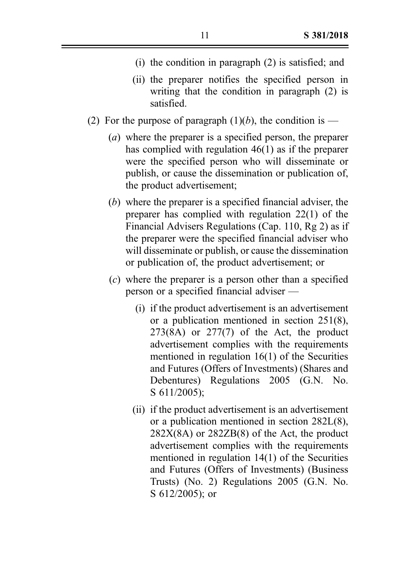- (i) the condition in paragraph (2) is satisfied; and
- (ii) the preparer notifies the specified person in writing that the condition in paragraph (2) is satisfied.
- (2) For the purpose of paragraph  $(1)(b)$ , the condition is
	- (a) where the preparer is a specified person, the preparer has complied with regulation 46(1) as if the preparer were the specified person who will disseminate or publish, or cause the dissemination or publication of, the product advertisement;
	- (b) where the preparer is a specified financial adviser, the preparer has complied with regulation 22(1) of the Financial Advisers Regulations (Cap. 110, Rg 2) as if the preparer were the specified financial adviser who will disseminate or publish, or cause the dissemination or publication of, the product advertisement; or
	- (c) where the preparer is a person other than a specified person or a specified financial adviser —
		- (i) if the product advertisement is an advertisement or a publication mentioned in section 251(8),  $273(8)$  or  $277(7)$  of the Act, the product advertisement complies with the requirements mentioned in regulation 16(1) of the Securities and Futures (Offers of Investments) (Shares and Debentures) Regulations 2005 (G.N. No. S 611/2005);
		- (ii) if the product advertisement is an advertisement or a publication mentioned in section 282L(8),  $282X(8A)$  or  $282ZB(8)$  of the Act, the product advertisement complies with the requirements mentioned in regulation 14(1) of the Securities and Futures (Offers of Investments) (Business Trusts) (No. 2) Regulations 2005 (G.N. No. S 612/2005); or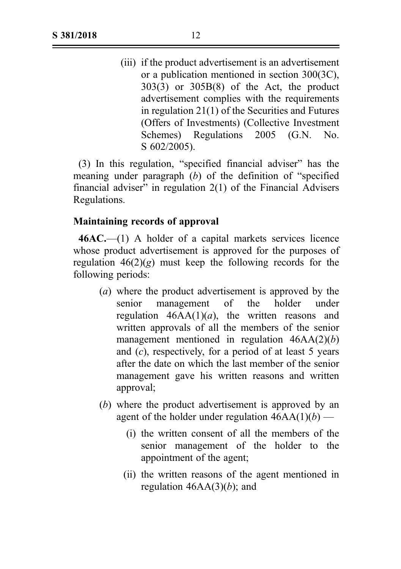(iii) if the product advertisement is an advertisement or a publication mentioned in section 300(3C), 303(3) or 305B(8) of the Act, the product advertisement complies with the requirements in regulation 21(1) of the Securities and Futures (Offers of Investments) (Collective Investment Schemes) Regulations 2005 (G.N. No. S 602/2005).

(3) In this regulation, "specified financial adviser" has the meaning under paragraph (b) of the definition of "specified financial adviser" in regulation 2(1) of the Financial Advisers Regulations.

### Maintaining records of approval

46AC.—(1) A holder of a capital markets services licence whose product advertisement is approved for the purposes of regulation  $46(2)(g)$  must keep the following records for the following periods:

- (a) where the product advertisement is approved by the senior management of the holder under regulation  $46AA(1)(a)$ , the written reasons and written approvals of all the members of the senior management mentioned in regulation  $46AA(2)(b)$ and  $(c)$ , respectively, for a period of at least 5 years after the date on which the last member of the senior management gave his written reasons and written approval;
- (b) where the product advertisement is approved by an agent of the holder under regulation  $46AA(1)(b)$  —
	- (i) the written consent of all the members of the senior management of the holder to the appointment of the agent;
	- (ii) the written reasons of the agent mentioned in regulation  $46AA(3)(b)$ ; and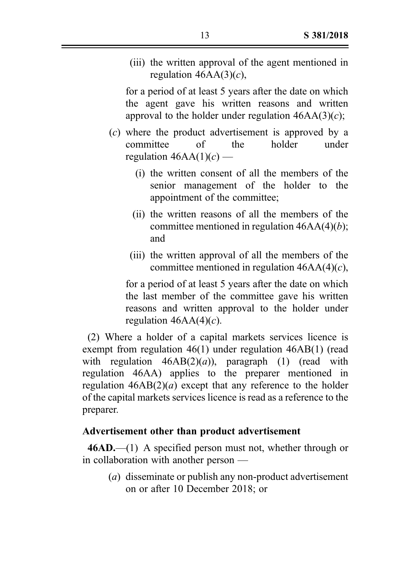(iii) the written approval of the agent mentioned in regulation  $46AA(3)(c)$ ,

for a period of at least 5 years after the date on which the agent gave his written reasons and written approval to the holder under regulation  $46AA(3)(c)$ ;

- (c) where the product advertisement is approved by a committee of the holder under regulation  $46AA(1)(c)$  —
	- (i) the written consent of all the members of the senior management of the holder to the appointment of the committee;
	- (ii) the written reasons of all the members of the committee mentioned in regulation  $46AA(4)(b)$ ; and
	- (iii) the written approval of all the members of the committee mentioned in regulation  $46AA(4)(c)$ ,

for a period of at least 5 years after the date on which the last member of the committee gave his written reasons and written approval to the holder under regulation  $46AA(4)(c)$ .

(2) Where a holder of a capital markets services licence is exempt from regulation 46(1) under regulation 46AB(1) (read with regulation  $46AB(2)(a)$ , paragraph (1) (read with regulation 46AA) applies to the preparer mentioned in regulation  $46AB(2)(a)$  except that any reference to the holder of the capital markets services licence is read as a reference to the preparer.

## Advertisement other than product advertisement

 $46AD$ ,—(1) A specified person must not, whether through or in collaboration with another person —

(*a*) disseminate or publish any non-product advertisement on or after 10 December 2018; or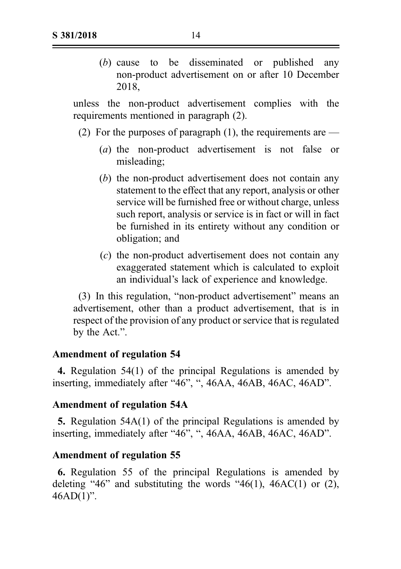(b) cause to be disseminated or published any non‑product advertisement on or after 10 December 2018,

unless the non‑product advertisement complies with the requirements mentioned in paragraph (2).

- (2) For the purposes of paragraph  $(1)$ , the requirements are
	- (*a*) the non-product advertisement is not false or misleading;
	- (b) the non‑product advertisement does not contain any statement to the effect that any report, analysis or other service will be furnished free or without charge, unless such report, analysis or service is in fact or will in fact be furnished in its entirety without any condition or obligation; and
	- (c) the non‑product advertisement does not contain any exaggerated statement which is calculated to exploit an individual's lack of experience and knowledge.

(3) In this regulation, "non‑product advertisement" means an advertisement, other than a product advertisement, that is in respect of the provision of any product or service that is regulated by the Act.".

## Amendment of regulation 54

4. Regulation 54(1) of the principal Regulations is amended by inserting, immediately after "46", ", 46AA, 46AB, 46AC, 46AD".

## Amendment of regulation 54A

5. Regulation 54A(1) of the principal Regulations is amended by inserting, immediately after "46", ", 46AA, 46AB, 46AC, 46AD".

## Amendment of regulation 55

6. Regulation 55 of the principal Regulations is amended by deleting "46" and substituting the words "46(1), 46AC(1) or (2),  $46AD(1)$ ".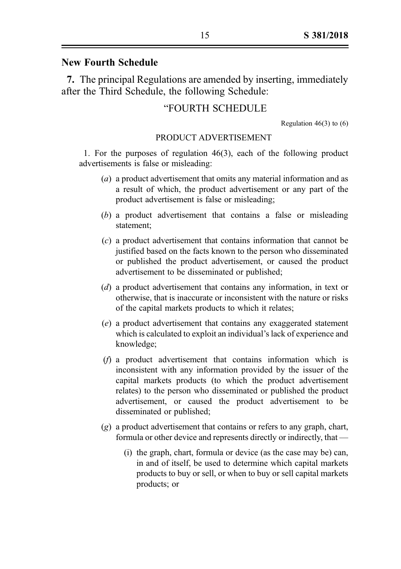## New Fourth Schedule

7. The principal Regulations are amended by inserting, immediately after the Third Schedule, the following Schedule:

### "FOURTH SCHEDULE

Regulation  $46(3)$  to  $(6)$ 

#### PRODUCT ADVERTISEMENT

1. For the purposes of regulation 46(3), each of the following product advertisements is false or misleading:

- (a) a product advertisement that omits any material information and as a result of which, the product advertisement or any part of the product advertisement is false or misleading;
- (b) a product advertisement that contains a false or misleading statement;
- (c) a product advertisement that contains information that cannot be justified based on the facts known to the person who disseminated or published the product advertisement, or caused the product advertisement to be disseminated or published;
- (d) a product advertisement that contains any information, in text or otherwise, that is inaccurate or inconsistent with the nature or risks of the capital markets products to which it relates;
- (e) a product advertisement that contains any exaggerated statement which is calculated to exploit an individual's lack of experience and knowledge;
- (f) a product advertisement that contains information which is inconsistent with any information provided by the issuer of the capital markets products (to which the product advertisement relates) to the person who disseminated or published the product advertisement, or caused the product advertisement to be disseminated or published;
- (g) a product advertisement that contains or refers to any graph, chart, formula or other device and represents directly or indirectly, that —
	- (i) the graph, chart, formula or device (as the case may be) can, in and of itself, be used to determine which capital markets products to buy or sell, or when to buy or sell capital markets products; or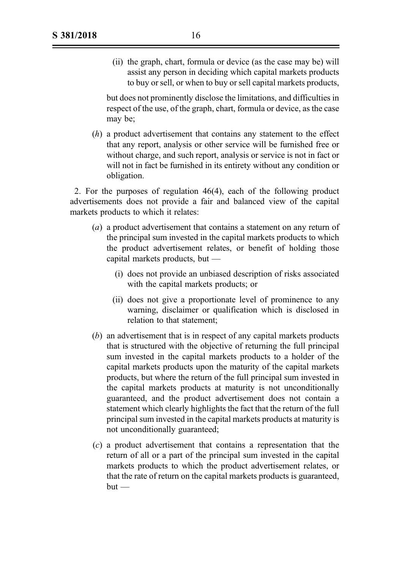(ii) the graph, chart, formula or device (as the case may be) will assist any person in deciding which capital markets products to buy or sell, or when to buy or sell capital markets products,

but does not prominently disclose the limitations, and difficulties in respect of the use, of the graph, chart, formula or device, as the case may be;

(h) a product advertisement that contains any statement to the effect that any report, analysis or other service will be furnished free or without charge, and such report, analysis or service is not in fact or will not in fact be furnished in its entirety without any condition or obligation.

2. For the purposes of regulation 46(4), each of the following product advertisements does not provide a fair and balanced view of the capital markets products to which it relates:

- (a) a product advertisement that contains a statement on any return of the principal sum invested in the capital markets products to which the product advertisement relates, or benefit of holding those capital markets products, but —
	- (i) does not provide an unbiased description of risks associated with the capital markets products; or
	- (ii) does not give a proportionate level of prominence to any warning, disclaimer or qualification which is disclosed in relation to that statement;
- (b) an advertisement that is in respect of any capital markets products that is structured with the objective of returning the full principal sum invested in the capital markets products to a holder of the capital markets products upon the maturity of the capital markets products, but where the return of the full principal sum invested in the capital markets products at maturity is not unconditionally guaranteed, and the product advertisement does not contain a statement which clearly highlights the fact that the return of the full principal sum invested in the capital markets products at maturity is not unconditionally guaranteed;
- (c) a product advertisement that contains a representation that the return of all or a part of the principal sum invested in the capital markets products to which the product advertisement relates, or that the rate of return on the capital markets products is guaranteed,  $but -$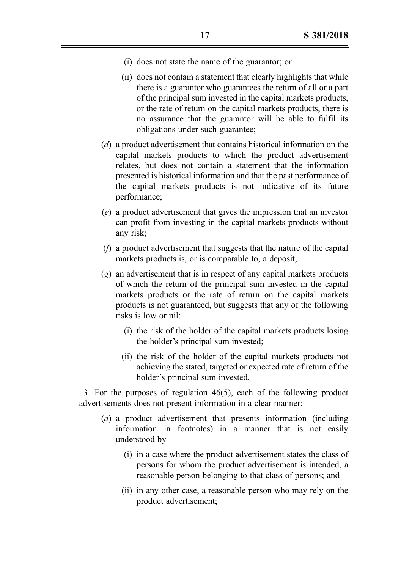- (i) does not state the name of the guarantor; or
- (ii) does not contain a statement that clearly highlights that while there is a guarantor who guarantees the return of all or a part of the principal sum invested in the capital markets products, or the rate of return on the capital markets products, there is no assurance that the guarantor will be able to fulfil its obligations under such guarantee;
- (d) a product advertisement that contains historical information on the capital markets products to which the product advertisement relates, but does not contain a statement that the information presented is historical information and that the past performance of the capital markets products is not indicative of its future performance;
- (e) a product advertisement that gives the impression that an investor can profit from investing in the capital markets products without any risk;
- (f) a product advertisement that suggests that the nature of the capital markets products is, or is comparable to, a deposit;
- (g) an advertisement that is in respect of any capital markets products of which the return of the principal sum invested in the capital markets products or the rate of return on the capital markets products is not guaranteed, but suggests that any of the following risks is low or nil:
	- (i) the risk of the holder of the capital markets products losing the holder's principal sum invested;
	- (ii) the risk of the holder of the capital markets products not achieving the stated, targeted or expected rate of return of the holder's principal sum invested.

3. For the purposes of regulation 46(5), each of the following product advertisements does not present information in a clear manner:

- (a) a product advertisement that presents information (including information in footnotes) in a manner that is not easily understood by —
	- (i) in a case where the product advertisement states the class of persons for whom the product advertisement is intended, a reasonable person belonging to that class of persons; and
	- (ii) in any other case, a reasonable person who may rely on the product advertisement;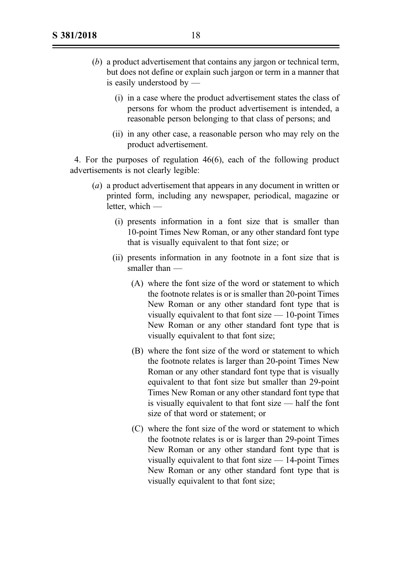- (b) a product advertisement that contains any jargon or technical term, but does not define or explain such jargon or term in a manner that is easily understood by —
	- (i) in a case where the product advertisement states the class of persons for whom the product advertisement is intended, a reasonable person belonging to that class of persons; and
	- (ii) in any other case, a reasonable person who may rely on the product advertisement.

4. For the purposes of regulation 46(6), each of the following product advertisements is not clearly legible:

- (a) a product advertisement that appears in any document in written or printed form, including any newspaper, periodical, magazine or letter, which —
	- (i) presents information in a font size that is smaller than 10‑point Times New Roman, or any other standard font type that is visually equivalent to that font size; or
	- (ii) presents information in any footnote in a font size that is smaller than —
		- (A) where the font size of the word or statement to which the footnote relates is or is smaller than 20‑point Times New Roman or any other standard font type that is visually equivalent to that font size  $-10$ -point Times New Roman or any other standard font type that is visually equivalent to that font size;
		- (B) where the font size of the word or statement to which the footnote relates is larger than 20‑point Times New Roman or any other standard font type that is visually equivalent to that font size but smaller than 29‑point Times New Roman or any other standard font type that is visually equivalent to that font size — half the font size of that word or statement; or
		- (C) where the font size of the word or statement to which the footnote relates is or is larger than 29‑point Times New Roman or any other standard font type that is visually equivalent to that font size — 14‑point Times New Roman or any other standard font type that is visually equivalent to that font size;